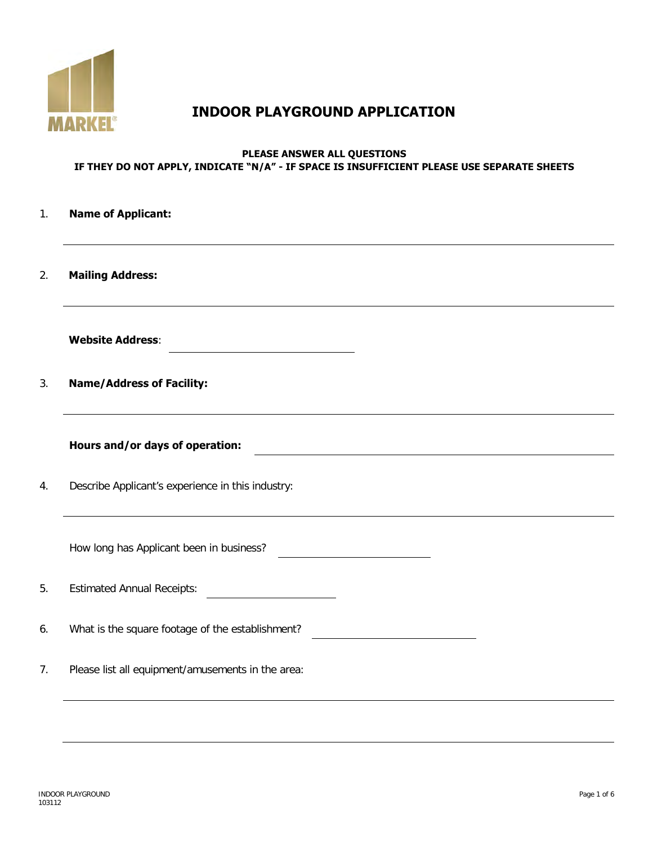

# **INDOOR PLAYGROUND APPLICATION**

## **PLEASE ANSWER ALL QUESTIONS IF THEY DO NOT APPLY, INDICATE "N/A" - IF SPACE IS INSUFFICIENT PLEASE USE SEPARATE SHEETS**

| 1. | <b>Name of Applicant:</b>                                                        |
|----|----------------------------------------------------------------------------------|
| 2. | <b>Mailing Address:</b>                                                          |
|    | <b>Website Address:</b>                                                          |
| 3. | <b>Name/Address of Facility:</b>                                                 |
|    | Hours and/or days of operation:                                                  |
| 4. | Describe Applicant's experience in this industry:                                |
|    | How long has Applicant been in business?<br><u> 1980 - Johann Barbara, martx</u> |
| 5. | <b>Estimated Annual Receipts:</b>                                                |
| 6. | What is the square footage of the establishment?                                 |
| 7. | Please list all equipment/amusements in the area:                                |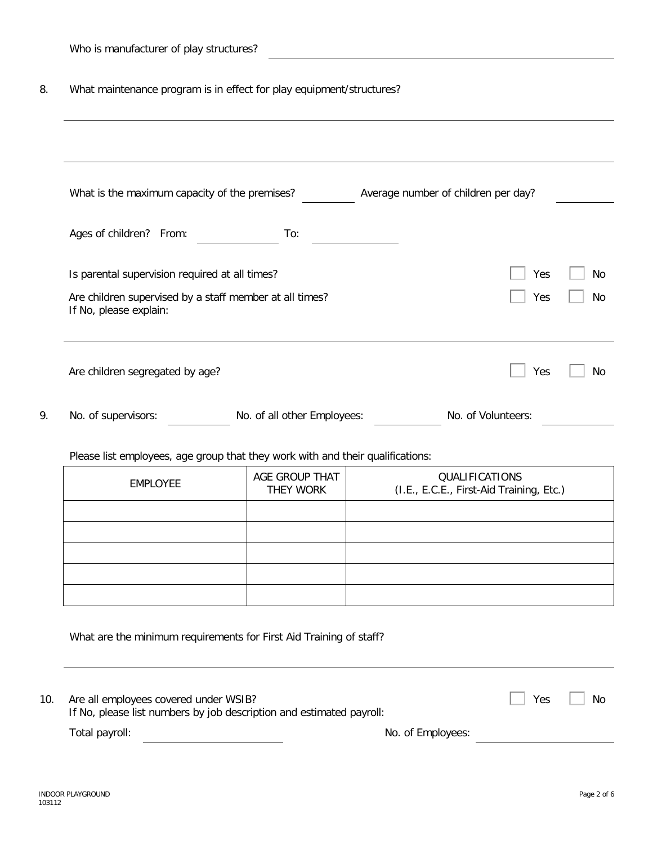8. What maintenance program is in effect for play equipment/structures?

| What is the maximum capacity of the premises? Average number of children per day? |  |                                                                    |                                                            |     |  |
|-----------------------------------------------------------------------------------|--|--------------------------------------------------------------------|------------------------------------------------------------|-----|--|
| Ages of children? From:                                                           |  | To:                                                                |                                                            |     |  |
| Is parental supervision required at all times?                                    |  |                                                                    |                                                            | Yes |  |
| Are children supervised by a staff member at all times?<br>If No, please explain: |  |                                                                    | Yes                                                        |     |  |
| Are children segregated by age?                                                   |  |                                                                    |                                                            | Yes |  |
| No. of supervisors:<br>No. of all other Employees:<br>No. of Volunteers:          |  |                                                                    |                                                            |     |  |
| Please list employees, age group that they work with and their qualifications:    |  |                                                                    |                                                            |     |  |
|                                                                                   |  |                                                                    |                                                            |     |  |
| <b>EMPLOYEE</b>                                                                   |  | AGE GROUP THAT<br>THEY WORK                                        | QUALIFICATIONS<br>(I.E., E.C.E., First-Aid Training, Etc.) |     |  |
|                                                                                   |  |                                                                    |                                                            |     |  |
|                                                                                   |  |                                                                    |                                                            |     |  |
|                                                                                   |  |                                                                    |                                                            |     |  |
|                                                                                   |  |                                                                    |                                                            |     |  |
|                                                                                   |  | What are the minimum requirements for First Aid Training of staff? |                                                            |     |  |
| Are all employees covered under WSIB?                                             |  |                                                                    |                                                            | Yes |  |
|                                                                                   |  |                                                                    |                                                            |     |  |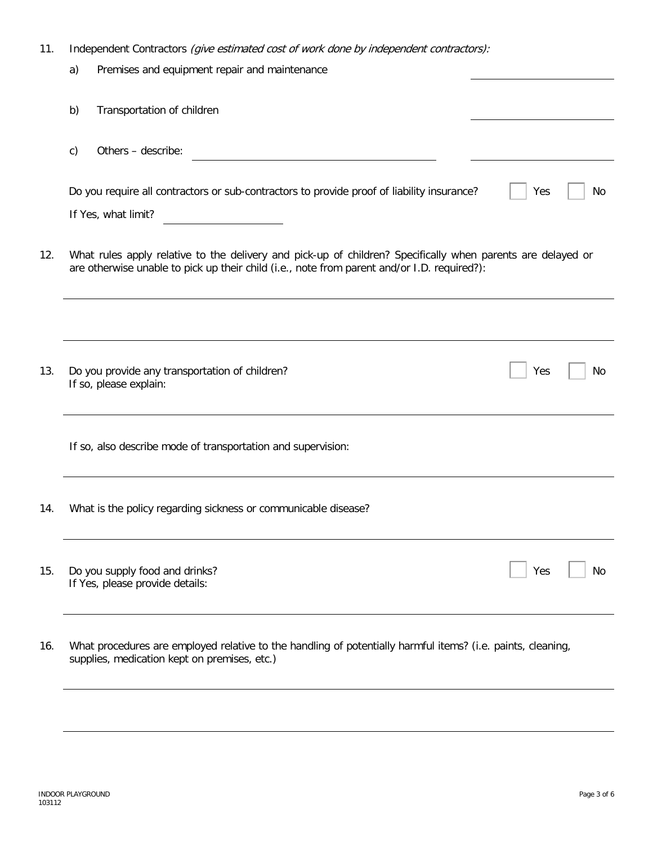| 11. | Independent Contractors (give estimated cost of work done by independent contractors):                                                                                                                     |    |  |  |  |  |  |
|-----|------------------------------------------------------------------------------------------------------------------------------------------------------------------------------------------------------------|----|--|--|--|--|--|
|     | Premises and equipment repair and maintenance<br>a)                                                                                                                                                        |    |  |  |  |  |  |
|     | Transportation of children<br>b)                                                                                                                                                                           |    |  |  |  |  |  |
|     | Others - describe:<br>c)                                                                                                                                                                                   |    |  |  |  |  |  |
|     | Do you require all contractors or sub-contractors to provide proof of liability insurance?<br>Yes<br>If Yes, what limit?                                                                                   | No |  |  |  |  |  |
| 12. | What rules apply relative to the delivery and pick-up of children? Specifically when parents are delayed or<br>are otherwise unable to pick up their child (i.e., note from parent and/or I.D. required?): |    |  |  |  |  |  |
|     |                                                                                                                                                                                                            |    |  |  |  |  |  |
| 13. | Do you provide any transportation of children?<br>Yes<br>If so, please explain:                                                                                                                            | No |  |  |  |  |  |
|     | If so, also describe mode of transportation and supervision:                                                                                                                                               |    |  |  |  |  |  |
| 14. | What is the policy regarding sickness or communicable disease?                                                                                                                                             |    |  |  |  |  |  |
| 15. | Do you supply food and drinks?<br>Yes<br>If Yes, please provide details:                                                                                                                                   | No |  |  |  |  |  |
| 16. | What procedures are employed relative to the handling of potentially harmful items? (i.e. paints, cleaning,                                                                                                |    |  |  |  |  |  |

supplies, medication kept on premises, etc.)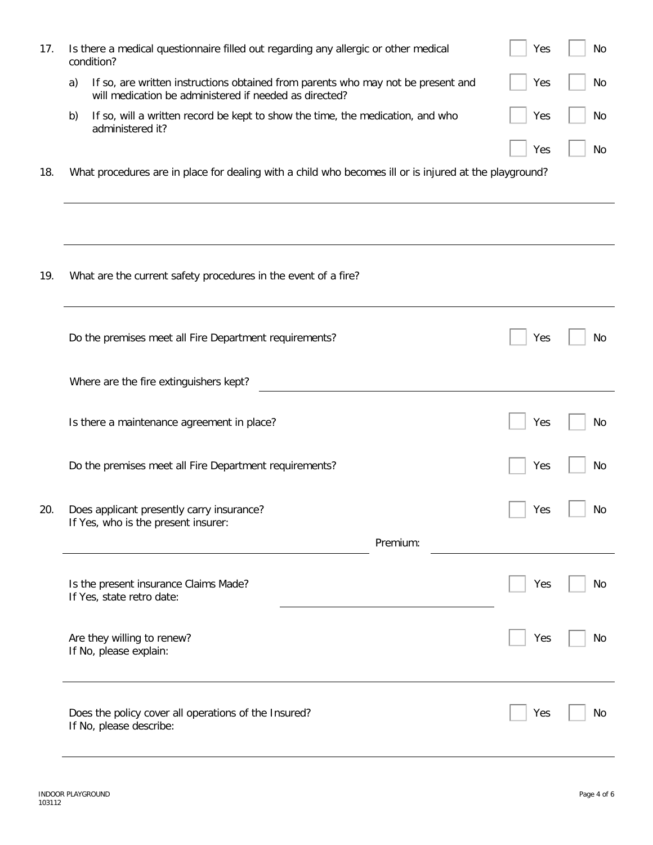| 17. |    | Is there a medical questionnaire filled out regarding any allergic or other medical<br>condition?                                          | Yes | No |
|-----|----|--------------------------------------------------------------------------------------------------------------------------------------------|-----|----|
|     | a) | If so, are written instructions obtained from parents who may not be present and<br>will medication be administered if needed as directed? | Yes | No |
|     | b) | If so, will a written record be kept to show the time, the medication, and who<br>administered it?                                         | Yes | No |
| 18. |    | What procedures are in place for dealing with a child who becomes ill or is injured at the playground?                                     | Yes | No |
|     |    |                                                                                                                                            |     |    |
|     |    |                                                                                                                                            |     |    |
| 19. |    | What are the current safety procedures in the event of a fire?                                                                             |     |    |
|     |    | Do the premises meet all Fire Department requirements?                                                                                     | Yes | No |
|     |    | Where are the fire extinguishers kept?                                                                                                     |     |    |
|     |    | Is there a maintenance agreement in place?                                                                                                 | Yes | No |
|     |    | Do the premises meet all Fire Department requirements?                                                                                     | Yes | No |
| 20. |    | Does applicant presently carry insurance?<br>If Yes, who is the present insurer:                                                           | Yes | No |
|     |    | Premium:                                                                                                                                   |     |    |
|     |    | Is the present insurance Claims Made?<br>If Yes, state retro date:                                                                         | Yes | No |
|     |    | Are they willing to renew?<br>If No, please explain:                                                                                       | Yes | No |
|     |    | Does the policy cover all operations of the Insured?<br>If No, please describe:                                                            | Yes | No |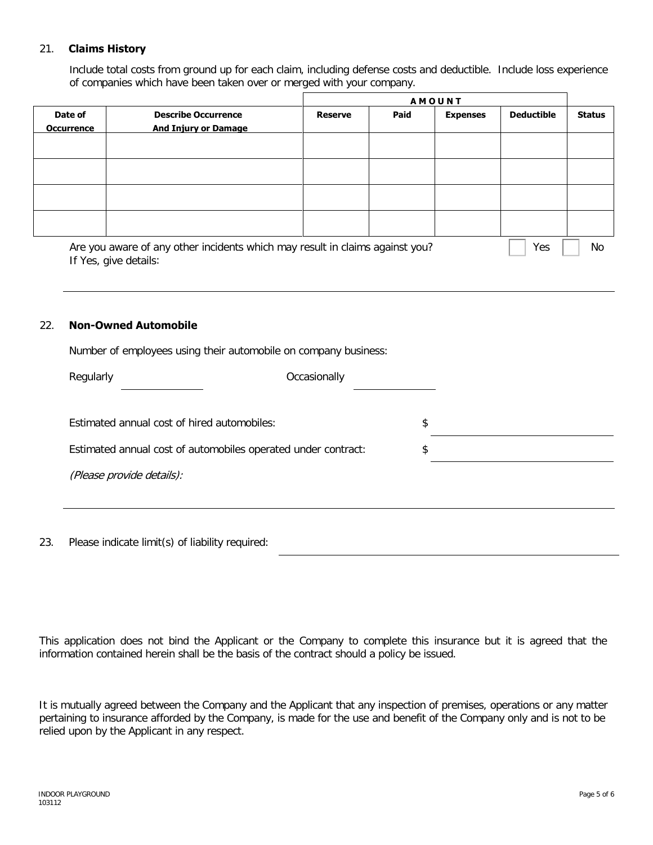### 21. **Claims History**

Include total costs from ground up for each claim, including defense costs and deductible. Include loss experience of companies which have been taken over or merged with your company.

|                              |                                                                                                       | <b>AMOUNT</b>  |      |                 |                   |               |
|------------------------------|-------------------------------------------------------------------------------------------------------|----------------|------|-----------------|-------------------|---------------|
| Date of<br><b>Occurrence</b> | <b>Describe Occurrence</b><br><b>And Injury or Damage</b>                                             | <b>Reserve</b> | Paid | <b>Expenses</b> | <b>Deductible</b> | <b>Status</b> |
|                              |                                                                                                       |                |      |                 |                   |               |
|                              |                                                                                                       |                |      |                 |                   |               |
|                              |                                                                                                       |                |      |                 |                   |               |
|                              |                                                                                                       |                |      |                 |                   |               |
|                              | Are you aware of any other incidents which may result in claims against you?<br>If Yes, give details: |                |      |                 | Yes               | No.           |

#### 22. **Non-Owned Automobile**

Number of employees using their automobile on company business:

| Regularly                                                     | Occasionally |    |
|---------------------------------------------------------------|--------------|----|
| Estimated annual cost of hired automobiles:                   |              | \$ |
| Estimated annual cost of automobiles operated under contract: |              | \$ |
| (Please provide details):                                     |              |    |
|                                                               |              |    |

23. Please indicate limit(s) of liability required:

This application does not bind the Applicant or the Company to complete this insurance but it is agreed that the information contained herein shall be the basis of the contract should a policy be issued.

It is mutually agreed between the Company and the Applicant that any inspection of premises, operations or any matter pertaining to insurance afforded by the Company, is made for the use and benefit of the Company only and is not to be relied upon by the Applicant in any respect.